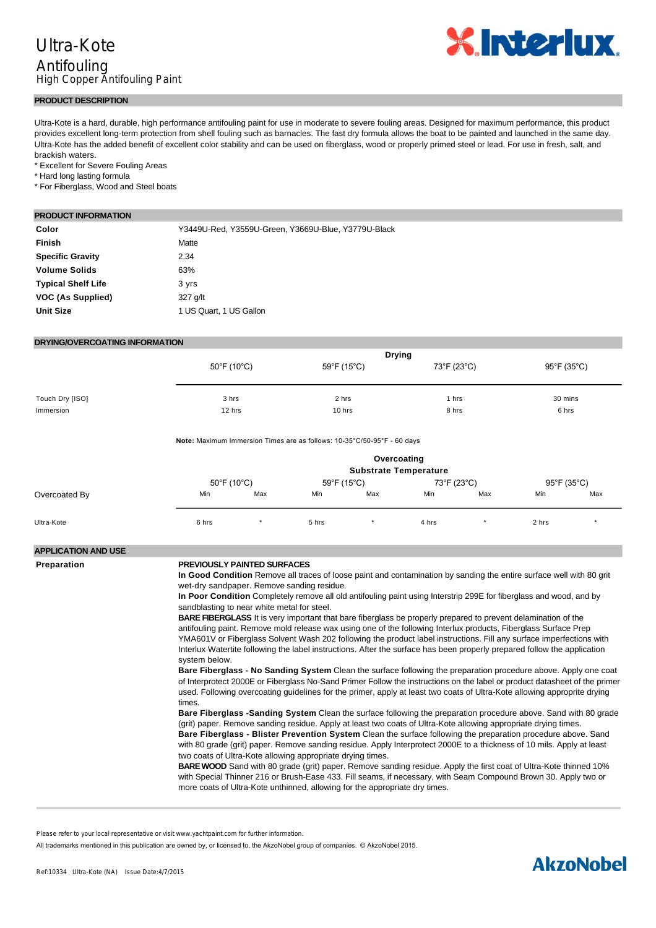

#### **PRODUCT DESCRIPTION**

Ultra-Kote is a hard, durable, high performance antifouling paint for use in moderate to severe fouling areas. Designed for maximum performance, this product provides excellent long-term protection from shell fouling such as barnacles. The fast dry formula allows the boat to be painted and launched in the same day. Ultra-Kote has the added benefit of excellent color stability and can be used on fiberglass, wood or properly primed steel or lead. For use in fresh, salt, and brackish waters.

\* Excellent for Severe Fouling Areas

\* Hard long lasting formula

\* For Fiberglass, Wood and Steel boats

### **PRODUCT INFORMATION**

| Color                     | Y3449U-Red, Y3559U-Green, Y3669U-Blue, Y3779U-Black |
|---------------------------|-----------------------------------------------------|
| <b>Finish</b>             | Matte                                               |
| <b>Specific Gravity</b>   | 2.34                                                |
| <b>Volume Solids</b>      | 63%                                                 |
| <b>Typical Shelf Life</b> | 3 yrs                                               |
| VOC (As Supplied)         | 327 g/lt                                            |
| <b>Unit Size</b>          | 1 US Quart, 1 US Gallon                             |
|                           |                                                     |

### **DRYING/OVERCOATING INFORMATION**

|                 | <b>Drying</b> |             |             |             |
|-----------------|---------------|-------------|-------------|-------------|
|                 | 50°F (10°C)   | 59°F (15°C) | 73°F (23°C) | 95°F (35°C) |
|                 |               |             |             |             |
| Touch Dry [ISO] | 3 hrs         | 2 hrs       | 1 hrs       | 30 mins     |
| Immersion       | 12 hrs        | 10 hrs      | 8 hrs       | 6 hrs       |

Note: Maximum Immersion Times are as follows: 10-35°C/50-95°F - 60 days

how to properly prime underwater metals. Do not use on aluminum.

|               | Overcoating<br><b>Substrate Temperature</b> |           |             |     |             |     |             |     |
|---------------|---------------------------------------------|-----------|-------------|-----|-------------|-----|-------------|-----|
|               | 50°F (10°C)                                 |           | 59°F (15°C) |     | 73°F (23°C) |     | 95°F (35°C) |     |
| Overcoated By | Min                                         | Max       | Min         | Max | Min         | Max | Min         | Max |
| Ultra-Kote    | 6 hrs                                       | $\ddot{}$ | 5 hrs       | ۰   | 4 hrs       |     | 2 hrs       | ٠   |

## **APPLICATION AND USE**

#### **Preparation PREVIOUSLY PAINTED SURFACES**

**In Good Condition** Remove all traces of loose paint and contamination by sanding the entire surface well with 80 grit wet-dry sandpaper. Remove sanding residue.

**In Poor Condition** Completely remove all old antifouling paint using Interstrip 299E for fiberglass and wood, and by sandblasting to near white metal for steel.

**BARE FIBERGLASS** It is very important that bare fiberglass be properly prepared to prevent delamination of the antifouling paint. Remove mold release wax using one of the following Interlux products, Fiberglass Surface Prep YMA601V or Fiberglass Solvent Wash 202 following the product label instructions. Fill any surface imperfections with Interlux Watertite following the label instructions. After the surface has been properly prepared follow the application system below.

**Bare Fiberglass - No Sanding System** Clean the surface following the preparation procedure above. Apply one coat of Interprotect 2000E or Fiberglass No-Sand Primer Follow the instructions on the label or product datasheet of the primer used. Following overcoating guidelines for the primer, apply at least two coats of Ultra-Kote allowing approprite drying times.

**Bare Fiberglass -Sanding System** Clean the surface following the preparation procedure above. Sand with 80 grade (grit) paper. Remove sanding residue. Apply at least two coats of Ultra-Kote allowing appropriate drying times. **Bare Fiberglass - Blister Prevention System** Clean the surface following the preparation procedure above. Sand with 80 grade (grit) paper. Remove sanding residue. Apply Interprotect 2000E to a thickness of 10 mils. Apply at least

two coats of Ultra-Kote allowing appropriate drying times. **BARE WOOD** Sand with 80 grade (grit) paper. Remove sanding residue. Apply the first coat of Ultra-Kote thinned 10% with Special Thinner 216 or Brush-Ease 433. Fill seams, if necessary, with Seam Compound Brown 30. Apply two or more coats of Ultra-Kote unthinned, allowing for the appropriate dry times.

Please refer to your local representative or visit www.yachtpaint.com for further information.

All trademarks mentioned in this publication are owned by, or licensed to, the AkzoNobel group of companies. © AkzoNobel 2015.

# **AkzoNobel**